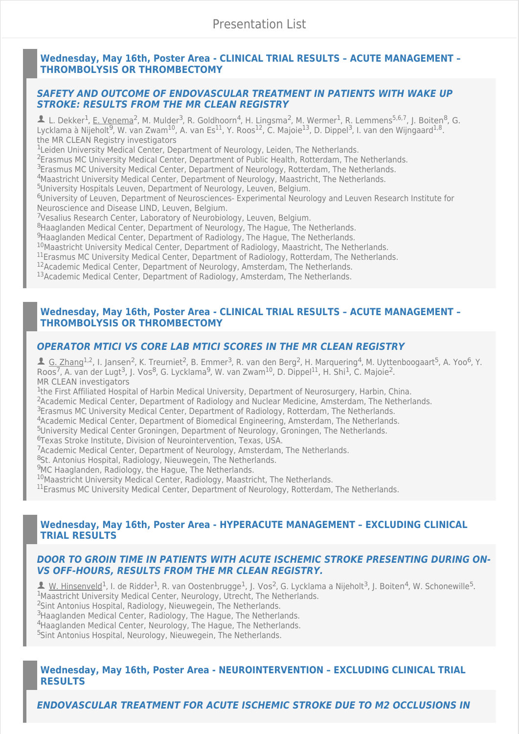## **[Wednesday, May 16th, Poster Area - CLINICAL TRIAL RESULTS – ACUTE MANAGEMENT –](https://cmoffice.kenes.com/cmsearchableprogrammeV15/conferencemanager/programme/personid/anonymous/ESOC18/normal/b833d15f547f3cf698a5e922754684fa334885ed#!sessiondetails/0000005821_0) THROMBOLYSIS OR THROMBECTOMY**

### *[SAFETY AND OUTCOME OF ENDOVASCULAR TREATMENT IN PATIENTS WITH WAKE UP](https://cmoffice.kenes.com/cmsearchableprogrammeV15/conferencemanager/programme/personid/anonymous/ESOC18/normal/b833d15f547f3cf698a5e922754684fa334885ed#!abstractdetails/0000176821) STROKE: RESULTS FROM THE MR CLEAN REGISTRY*

L. Dekker<sup>1</sup>, E. Venema<sup>2</sup>, M. Mulder<sup>3</sup>, R. Goldhoorn<sup>4</sup>, H. Lingsma<sup>2</sup>, M. Wermer<sup>1</sup>, R. Lemmens<sup>5,6,7</sup>, J. Boiten<sup>8</sup>, G. Lycklama à Nijeholt<sup>9</sup>, W. van Zwam<sup>10</sup>, A. van Es<sup>11</sup>, Y. Roos<sup>12</sup>, C. Majoie<sup>13</sup>, D. Dippel<sup>3</sup>, I. van den Wijngaard<sup>1,8</sup>. the MR CLEAN Registry investigators

<sup>1</sup>Leiden University Medical Center, Department of Neurology, Leiden, The Netherlands.

<sup>2</sup> Erasmus MC University Medical Center, Department of Public Health, Rotterdam, The Netherlands.

<sup>3</sup> Erasmus MC University Medical Center, Department of Neurology, Rotterdam, The Netherlands.

<sup>4</sup>Maastricht University Medical Center, Department of Neurology, Maastricht, The Netherlands.

<sup>5</sup>University Hospitals Leuven, Department of Neurology, Leuven, Belgium.

<sup>6</sup>University of Leuven, Department of Neurosciences- Experimental Neurology and Leuven Research Institute for Neuroscience and Disease LIND, Leuven, Belgium.

<sup>7</sup>Vesalius Research Center, Laboratory of Neurobiology, Leuven, Belgium.

<sup>8</sup>Haaglanden Medical Center, Department of Neurology, The Hague, The Netherlands.

<sup>9</sup>Haaglanden Medical Center, Department of Radiology, The Hague, The Netherlands.

 $^{10}$ Maastricht University Medical Center, Department of Radiology, Maastricht, The Netherlands.

<sup>11</sup> Erasmus MC University Medical Center, Department of Radiology, Rotterdam, The Netherlands.

<sup>12</sup> Academic Medical Center, Department of Neurology, Amsterdam, The Netherlands.

<sup>13</sup> Academic Medical Center, Department of Radiology, Amsterdam, The Netherlands.

### **[Wednesday, May 16th, Poster Area - CLINICAL TRIAL RESULTS – ACUTE MANAGEMENT –](https://cmoffice.kenes.com/cmsearchableprogrammeV15/conferencemanager/programme/personid/anonymous/ESOC18/normal/b833d15f547f3cf698a5e922754684fa334885ed#!sessiondetails/0000005821_0) THROMBOLYSIS OR THROMBECTOMY**

# *[OPERATOR MTICI VS CORE LAB MTICI SCORES IN THE MR CLEAN REGISTRY](https://cmoffice.kenes.com/cmsearchableprogrammeV15/conferencemanager/programme/personid/anonymous/ESOC18/normal/b833d15f547f3cf698a5e922754684fa334885ed#!abstractdetails/0000177051)*

4 G. Zhang<sup>1,2</sup>, I. Jansen<sup>2</sup>, K. Treurniet<sup>2</sup>, B. Emmer<sup>3</sup>, R. van den Berg<sup>2</sup>, H. Marquering<sup>4</sup>, M. Uyttenboogaart<sup>5</sup>, A. Yoo<sup>6</sup>, Y. Roos<sup>7</sup>, A. van der Lugt<sup>3</sup>, J. Vos<sup>8</sup>, G. Lycklama<sup>9</sup>, W. van Zwam<sup>10</sup>, D. Dippel<sup>11</sup>, H. Shi<sup>1</sup>, C. Majoie<sup>2</sup>. MR CLEAN investigators

<sup>1</sup>the First Affiliated Hospital of Harbin Medical University, Department of Neurosurgery, Harbin, China. <sup>2</sup>Academic Medical Center, Department of Radiology and Nuclear Medicine, Amsterdam, The Netherlands.

<sup>3</sup> Erasmus MC University Medical Center, Department of Radiology, Rotterdam, The Netherlands.

<sup>4</sup>Academic Medical Center, Department of Biomedical Engineering, Amsterdam, The Netherlands.

<sup>5</sup>University Medical Center Groningen, Department of Neurology, Groningen, The Netherlands.

<sup>6</sup>Texas Stroke Institute, Division of Neurointervention, Texas, USA.

<sup>7</sup>Academic Medical Center, Department of Neurology, Amsterdam, The Netherlands.

<sup>8</sup>St. Antonius Hospital, Radiology, Nieuwegein, The Netherlands.

<sup>9</sup>MC Haaglanden, Radiology, the Hague, The Netherlands.

<sup>10</sup>Maastricht University Medical Center, Radiology, Maastricht, The Netherlands.

<sup>11</sup> Erasmus MC University Medical Center, Department of Neurology, Rotterdam, The Netherlands.

### **[Wednesday, May 16th, Poster Area - HYPERACUTE MANAGEMENT – EXCLUDING CLINICAL](https://cmoffice.kenes.com/cmsearchableprogrammeV15/conferencemanager/programme/personid/anonymous/ESOC18/normal/b833d15f547f3cf698a5e922754684fa334885ed#!sessiondetails/0000005861_0) TRIAL RESULTS**

## *[DOOR TO GROIN TIME IN PATIENTS WITH ACUTE ISCHEMIC STROKE PRESENTING DURING ON-](https://cmoffice.kenes.com/cmsearchableprogrammeV15/conferencemanager/programme/personid/anonymous/ESOC18/normal/b833d15f547f3cf698a5e922754684fa334885ed#!abstractdetails/0000174841)VS OFF-HOURS, RESULTS FROM THE MR CLEAN REGISTRY.*

1 W. Hinsenveld<sup>1</sup>, I. de Ridder<sup>1</sup>, R. van Oostenbrugge<sup>1</sup>, J. Vos<sup>2</sup>, G. Lycklama a Nijeholt<sup>3</sup>, J. Boiten<sup>4</sup>, W. Schonewille<sup>5</sup>. <sup>1</sup>Maastricht University Medical Center, Neurology, Utrecht, The Netherlands. <sup>2</sup>Sint Antonius Hospital, Radiology, Nieuwegein, The Netherlands. <sup>3</sup> Haaglanden Medical Center, Radiology, The Hague, The Netherlands. <sup>4</sup> Haaglanden Medical Center, Neurology, The Hague, The Netherlands.

<sup>5</sup>Sint Antonius Hospital, Neurology, Nieuwegein, The Netherlands.

## **[Wednesday, May 16th, Poster Area - NEUROINTERVENTION – EXCLUDING CLINICAL TRIAL](https://cmoffice.kenes.com/cmsearchableprogrammeV15/conferencemanager/programme/personid/anonymous/ESOC18/normal/b833d15f547f3cf698a5e922754684fa334885ed#!sessiondetails/0000005871_0) RESULTS**

*[ENDOVASCULAR TREATMENT FOR ACUTE ISCHEMIC STROKE DUE TO M2 OCCLUSIONS IN](https://cmoffice.kenes.com/cmsearchableprogrammeV15/conferencemanager/programme/personid/anonymous/ESOC18/normal/b833d15f547f3cf698a5e922754684fa334885ed#!abstractdetails/0000180571)*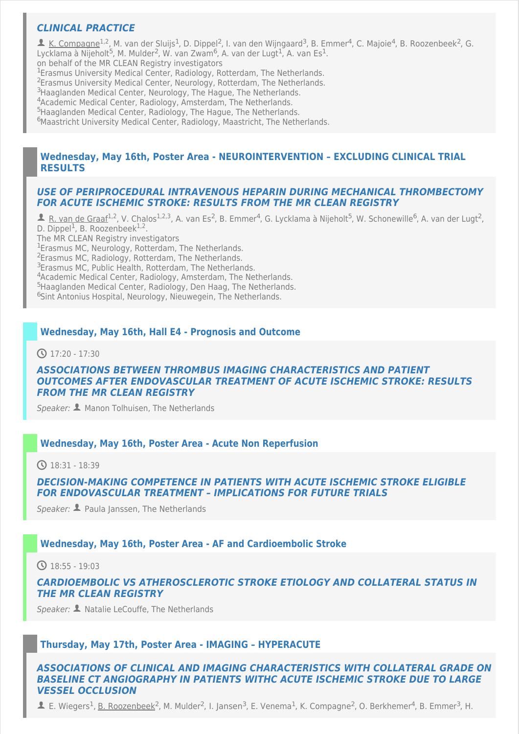# *[CLINICAL PRACTICE](https://cmoffice.kenes.com/cmsearchableprogrammeV15/conferencemanager/programme/personid/anonymous/ESOC18/normal/b833d15f547f3cf698a5e922754684fa334885ed#!abstractdetails/0000180571)*

**1** K. Compagne<sup>1,2</sup>, M. van der Sluijs<sup>1</sup>, D. Dippel<sup>2</sup>, I. van den Wijngaard<sup>3</sup>, B. Emmer<sup>4</sup>, C. Majoie<sup>4</sup>, B. Roozenbeek<sup>2</sup>, G. Lycklama à Nijeholt<sup>5</sup>, M. Mulder<sup>2</sup>, W. van Zwam<sup>6</sup>, A. van der Lugt<sup>1</sup>, A. van Es<sup>1</sup>. <sup>1</sup>Erasmus University Medical Center, Radiology, Rotterdam, The Netherlands. <sup>2</sup> Erasmus University Medical Center, Neurology, Rotterdam, The Netherlands. <sup>3</sup>Haaglanden Medical Center, Neurology, The Hague, The Netherlands. <sup>4</sup>Academic Medical Center, Radiology, Amsterdam, The Netherlands. <sup>5</sup>Haaglanden Medical Center, Radiology, The Hague, The Netherlands. <sup>6</sup>Maastricht University Medical Center, Radiology, Maastricht, The Netherlands. on behalf of the MR CLEAN Registry investigators

## **[Wednesday, May 16th, Poster Area - NEUROINTERVENTION – EXCLUDING CLINICAL TRIAL](https://cmoffice.kenes.com/cmsearchableprogrammeV15/conferencemanager/programme/personid/anonymous/ESOC18/normal/b833d15f547f3cf698a5e922754684fa334885ed#!sessiondetails/0000005871_0) RESULTS**

### *[USE OF PERIPROCEDURAL INTRAVENOUS HEPARIN DURING MECHANICAL THROMBECTOMY](https://cmoffice.kenes.com/cmsearchableprogrammeV15/conferencemanager/programme/personid/anonymous/ESOC18/normal/b833d15f547f3cf698a5e922754684fa334885ed#!abstractdetails/0000178281) FOR ACUTE ISCHEMIC STROKE: RESULTS FROM THE MR CLEAN REGISTRY*

**1** R. van de Graaf<sup>1,2</sup>, V. Chalos<sup>1,2,3</sup>, A. van Es<sup>2</sup>, B. Emmer<sup>4</sup>, G. Lycklama à Nijeholt<sup>5</sup>, W. Schonewille<sup>6</sup>, A. van der Lugt<sup>2</sup>, D. Dippel<sup>1</sup>, B. Roozenbeek<sup>1,2</sup>. <sup>1</sup>Erasmus MC, Neurology, Rotterdam, The Netherlands. <sup>2</sup>Erasmus MC, Radiology, Rotterdam, The Netherlands. <sup>3</sup>Erasmus MC, Public Health, Rotterdam, The Netherlands. <sup>4</sup>Academic Medical Center, Radiology, Amsterdam, The Netherlands. <sup>5</sup>Haaglanden Medical Center, Radiology, Den Haag, The Netherlands. <sup>6</sup>Sint Antonius Hospital, Neurology, Nieuwegein, The Netherlands. The MR CLEAN Registry investigators

## **[Wednesday, May 16th, Hall E4 - Prognosis and Outcome](https://cmoffice.kenes.com/cmsearchableprogrammeV15/conferencemanager/programme/personid/anonymous/ESOC18/normal/b833d15f547f3cf698a5e922754684fa334885ed#!sessiondetails/0000008450_0)**

 $\bigodot$  17:20 - 17:30

### *ASSOCIATIONS BETWEEN THROMBUS IMAGING CHARACTERISTICS AND PATIENT [OUTCOMES AFTER ENDOVASCULAR TREATMENT OF ACUTE ISCHEMIC STROKE: RESULTS](https://cmoffice.kenes.com/cmsearchableprogrammeV15/conferencemanager/programme/personid/anonymous/ESOC18/normal/b833d15f547f3cf698a5e922754684fa334885ed#!abstractdetails/0000183071) FROM THE MR CLEAN REGISTRY*

*Speaker:* Manon Tolhuisen, The Netherlands

### **[Wednesday, May 16th, Poster Area - Acute Non Reperfusion](https://cmoffice.kenes.com/cmsearchableprogrammeV15/conferencemanager/programme/personid/anonymous/ESOC18/normal/b833d15f547f3cf698a5e922754684fa334885ed#!sessiondetails/0000030610_0)**

 $\bigcirc$  18:31 - 18:39

## *[DECISION-MAKING COMPETENCE IN PATIENTS WITH ACUTE ISCHEMIC STROKE ELIGIBLE](https://cmoffice.kenes.com/cmsearchableprogrammeV15/conferencemanager/programme/personid/anonymous/ESOC18/normal/b833d15f547f3cf698a5e922754684fa334885ed#!abstractdetails/0000172561) FOR ENDOVASCULAR TREATMENT – IMPLICATIONS FOR FUTURE TRIALS*

*Speaker:* **1** Paula Janssen, The Netherlands

### **[Wednesday, May 16th, Poster Area - AF and Cardioembolic Stroke](https://cmoffice.kenes.com/cmsearchableprogrammeV15/conferencemanager/programme/personid/anonymous/ESOC18/normal/b833d15f547f3cf698a5e922754684fa334885ed#!sessiondetails/0000030620_0)**

 $\bigcirc$  18:55 - 19:03

### *[CARDIOEMBOLIC VS ATHEROSCLEROTIC STROKE ETIOLOGY AND COLLATERAL STATUS IN](https://cmoffice.kenes.com/cmsearchableprogrammeV15/conferencemanager/programme/personid/anonymous/ESOC18/normal/b833d15f547f3cf698a5e922754684fa334885ed#!abstractdetails/0000180121) THE MR CLEAN REGISTRY*

*Speaker:* Natalie LeCouffe, The Netherlands

### **[Thursday, May 17th, Poster Area - IMAGING – HYPERACUTE](https://cmoffice.kenes.com/cmsearchableprogrammeV15/conferencemanager/programme/personid/anonymous/ESOC18/normal/b833d15f547f3cf698a5e922754684fa334885ed#!sessiondetails/0000005901_0)**

### *[ASSOCIATIONS OF CLINICAL AND IMAGING CHARACTERISTICS WITH COLLATERAL GRADE ON](https://cmoffice.kenes.com/cmsearchableprogrammeV15/conferencemanager/programme/personid/anonymous/ESOC18/normal/b833d15f547f3cf698a5e922754684fa334885ed#!abstractdetails/0000177751) BASELINE CT ANGIOGRAPHY IN PATIENTS WITHC ACUTE ISCHEMIC STROKE DUE TO LARGE VESSEL OCCLUSION*

 $\blacktriangle$  E. Wiegers<sup>1</sup>, B. Roozenbeek<sup>2</sup>, M. Mulder<sup>2</sup>, I. Jansen<sup>3</sup>, E. Venema<sup>1</sup>, K. Compagne<sup>2</sup>, O. Berkhemer<sup>4</sup>, B. Emmer<sup>3</sup>, H.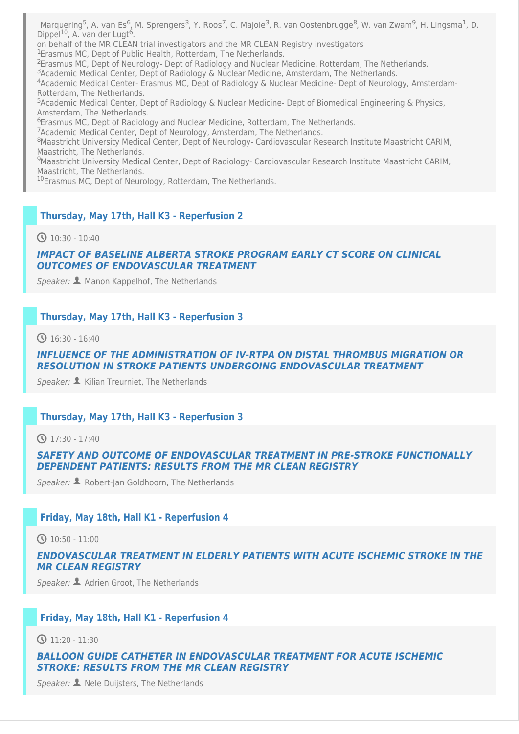Marquering<sup>5</sup>, A. van Es<sup>6</sup>, M. Sprengers<sup>3</sup>, Y. Roos<sup>7</sup>, C. Majoie<sup>3</sup>, R. van Oostenbrugge<sup>8</sup>, W. van Zwam<sup>9</sup>, H. Lingsma<sup>1</sup>, D. Dippel<sup>10</sup>, A. van der Lugt<sup>6</sup>.

on behalf of the MR CLEAN trial investigators and the MR CLEAN Registry investigators

<sup>1</sup>Erasmus MC, Dept of Public Health, Rotterdam, The Netherlands.

<sup>2</sup> Erasmus MC, Dept of Neurology- Dept of Radiology and Nuclear Medicine, Rotterdam, The Netherlands.

<sup>3</sup>Academic Medical Center, Dept of Radiology & Nuclear Medicine, Amsterdam, The Netherlands.

<sup>4</sup>Academic Medical Center- Erasmus MC, Dept of Radiology & Nuclear Medicine- Dept of Neurology, Amsterdam-Rotterdam, The Netherlands.

<sup>5</sup>Academic Medical Center, Dept of Radiology & Nuclear Medicine- Dept of Biomedical Engineering & Physics, Amsterdam, The Netherlands.

<sup>6</sup>Erasmus MC, Dept of Radiology and Nuclear Medicine, Rotterdam, The Netherlands.

<sup>7</sup> Academic Medical Center, Dept of Neurology, Amsterdam, The Netherlands.

<sup>8</sup>Maastricht University Medical Center, Dept of Neurology- Cardiovascular Research Institute Maastricht CARIM, Maastricht, The Netherlands.

<sup>9</sup>Maastricht University Medical Center, Dept of Radiology- Cardiovascular Research Institute Maastricht CARIM, Maastricht, The Netherlands.

<sup>10</sup> Erasmus MC, Dept of Neurology, Rotterdam, The Netherlands.

#### **[Thursday, May 17th, Hall K3 - Reperfusion 2](https://cmoffice.kenes.com/cmsearchableprogrammeV15/conferencemanager/programme/personid/anonymous/ESOC18/normal/b833d15f547f3cf698a5e922754684fa334885ed#!sessiondetails/0000008820_0)**

 $\Omega$  10:30 - 10:40

#### *[IMPACT OF BASELINE ALBERTA STROKE PROGRAM EARLY CT SCORE ON CLINICAL](https://cmoffice.kenes.com/cmsearchableprogrammeV15/conferencemanager/programme/personid/anonymous/ESOC18/normal/b833d15f547f3cf698a5e922754684fa334885ed#!abstractdetails/0000183301) OUTCOMES OF ENDOVASCULAR TREATMENT*

*Speaker:* Manon Kappelhof, The Netherlands

#### **[Thursday, May 17th, Hall K3 - Reperfusion 3](https://cmoffice.kenes.com/cmsearchableprogrammeV15/conferencemanager/programme/personid/anonymous/ESOC18/normal/b833d15f547f3cf698a5e922754684fa334885ed#!sessiondetails/0000008020_0)**

16:30 - 16:40

### *[INFLUENCE OF THE ADMINISTRATION OF IV-RTPA ON DISTAL THROMBUS MIGRATION OR](https://cmoffice.kenes.com/cmsearchableprogrammeV15/conferencemanager/programme/personid/anonymous/ESOC18/normal/b833d15f547f3cf698a5e922754684fa334885ed#!abstractdetails/0000182641) RESOLUTION IN STROKE PATIENTS UNDERGOING ENDOVASCULAR TREATMENT*

*Speaker:* Kilian Treurniet, The Netherlands

#### **[Thursday, May 17th, Hall K3 - Reperfusion 3](https://cmoffice.kenes.com/cmsearchableprogrammeV15/conferencemanager/programme/personid/anonymous/ESOC18/normal/b833d15f547f3cf698a5e922754684fa334885ed#!sessiondetails/0000008020_0)**

 $\bigodot$  17:30 - 17:40

### *[SAFETY AND OUTCOME OF ENDOVASCULAR TREATMENT IN PRE-STROKE FUNCTIONALLY](https://cmoffice.kenes.com/cmsearchableprogrammeV15/conferencemanager/programme/personid/anonymous/ESOC18/normal/b833d15f547f3cf698a5e922754684fa334885ed#!abstractdetails/0000167591) DEPENDENT PATIENTS: RESULTS FROM THE MR CLEAN REGISTRY*

*Speaker:* Robert-Jan Goldhoorn, The Netherlands

### **[Friday, May 18th, Hall K1 - Reperfusion 4](https://cmoffice.kenes.com/cmsearchableprogrammeV15/conferencemanager/programme/personid/anonymous/ESOC18/normal/b833d15f547f3cf698a5e922754684fa334885ed#!sessiondetails/0000008670_0)**

 $\bigodot$  10:50 - 11:00

#### *[ENDOVASCULAR TREATMENT IN ELDERLY PATIENTS WITH ACUTE ISCHEMIC STROKE IN THE](https://cmoffice.kenes.com/cmsearchableprogrammeV15/conferencemanager/programme/personid/anonymous/ESOC18/normal/b833d15f547f3cf698a5e922754684fa334885ed#!abstractdetails/0000179171) MR CLEAN REGISTRY*

*Speaker:* Adrien Groot, The Netherlands

#### **[Friday, May 18th, Hall K1 - Reperfusion 4](https://cmoffice.kenes.com/cmsearchableprogrammeV15/conferencemanager/programme/personid/anonymous/ESOC18/normal/b833d15f547f3cf698a5e922754684fa334885ed#!sessiondetails/0000008670_0)**

**4** 11:20 - 11:30

*[BALLOON GUIDE CATHETER IN ENDOVASCULAR TREATMENT FOR ACUTE ISCHEMIC](https://cmoffice.kenes.com/cmsearchableprogrammeV15/conferencemanager/programme/personid/anonymous/ESOC18/normal/b833d15f547f3cf698a5e922754684fa334885ed#!abstractdetails/0000176711) STROKE: RESULTS FROM THE MR CLEAN REGISTRY*

Speaker: **1** Nele Duijsters, The Netherlands